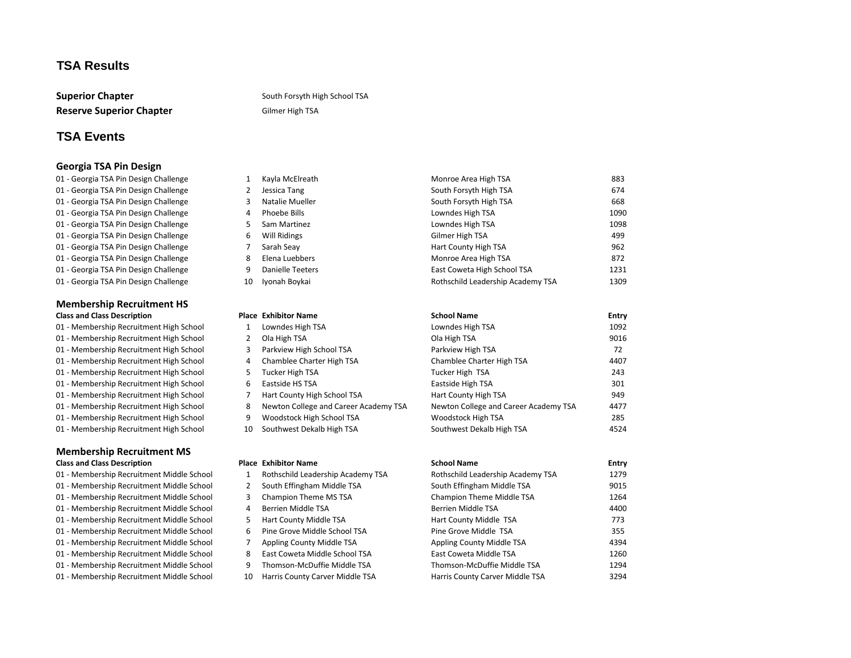# **TSA Results**

**Reserve Superior Chapter** Gilmer High TSA

#### **Superior Chapter** Superior Chapter Superior South Forsyth High School TSA

# **TSA Events**

#### **Georgia TSA Pin Design**

#### **Membership Recruitment HS Class and Class Description Place Exhibitor Name**

01 - Membership Recruitment High School 1 Lowndes High TSA 01 - Membership Recruitment High School 2 Ola High TSA 01 - Membership Recruitment High School 3 Parkview High School TSA 01 - Membership Recruitment High School 4 Chamblee Charter High TSA 01 - Membership Recruitment High School 5 Tucker High TSA 01 - Membership Recruitment High School 6 Eastside HS TSA 01 - Membership Recruitment High School 7 Hart County High School TSA 01 - Membership Recruitment High School 8 Newton College and Career Aca 01 - Membership Recruitment High School 9 Woodstock High School TSA 01 - Membership Recruitment High School 10 Southwest Dekalb High TSA **Membership Recruitment MS**

# **Class and Class Description Class Access 2018 Place Exhibitor Name School Name Entry Entry Entry**

- 01 Membership Recruitment Middle School 5 Hart County Middle TSA 01 - Membership Recruitment Middle School 6 Pine Grove Middle School TSA
- 

| 01 - Georgia TSA Pin Design Challenge |    | Kayla McElreath  | Monroe Area High TSA              | 883  |
|---------------------------------------|----|------------------|-----------------------------------|------|
| 01 - Georgia TSA Pin Design Challenge |    | Jessica Tang     | South Forsyth High TSA            | 674  |
| 01 - Georgia TSA Pin Design Challenge |    | Natalie Mueller  | South Forsyth High TSA            | 668  |
| 01 - Georgia TSA Pin Design Challenge |    | Phoebe Bills     | Lowndes High TSA                  | 1090 |
| 01 - Georgia TSA Pin Design Challenge |    | Sam Martinez     | Lowndes High TSA                  | 1098 |
| 01 - Georgia TSA Pin Design Challenge | ь  | Will Ridings     | Gilmer High TSA                   | 499  |
| 01 - Georgia TSA Pin Design Challenge |    | Sarah Seay       | Hart County High TSA              | 962  |
| 01 - Georgia TSA Pin Design Challenge |    | Elena Luebbers   | Monroe Area High TSA              | 872  |
| 01 - Georgia TSA Pin Design Challenge |    | Danielle Teeters | East Coweta High School TSA       | 1231 |
| 01 - Georgia TSA Pin Design Challenge | 10 | Iyonah Boykai    | Rothschild Leadership Academy TSA | 1309 |

|           | <b>School Name</b>                    | <b>Entry</b> |
|-----------|---------------------------------------|--------------|
|           | Lowndes High TSA                      | 1092         |
|           | Ola High TSA                          | 9016         |
|           | Parkview High TSA                     | 72           |
|           | Chamblee Charter High TSA             | 4407         |
|           | Tucker High TSA                       | 243          |
|           | Eastside High TSA                     | 301          |
|           | Hart County High TSA                  | 949          |
| ademy TSA | Newton College and Career Academy TSA | 4477         |
|           | Woodstock High TSA                    | 285          |
|           | Southwest Dekalb High TSA             | 4524         |

- 
- 
- 
- 
- 
- 
- 
- 
- 
- 

| 01 - Membership Recruitment Middle School |    | Rothschild Leadership Academy TSA | Rothschild Leadership Academy TSA | 1279 |
|-------------------------------------------|----|-----------------------------------|-----------------------------------|------|
| 01 - Membership Recruitment Middle School |    | South Effingham Middle TSA        | South Effingham Middle TSA        | 9015 |
| 01 - Membership Recruitment Middle School |    | <b>Champion Theme MS TSA</b>      | <b>Champion Theme Middle TSA</b>  | 1264 |
| 01 - Membership Recruitment Middle School | 4  | Berrien Middle TSA                | Berrien Middle TSA                | 4400 |
| 01 - Membership Recruitment Middle School |    | <b>Hart County Middle TSA</b>     | Hart County Middle TSA            | 773  |
| 01 - Membership Recruitment Middle School | 6  | Pine Grove Middle School TSA      | Pine Grove Middle TSA             | 355  |
| 01 - Membership Recruitment Middle School |    | Appling County Middle TSA         | Appling County Middle TSA         | 4394 |
| 01 - Membership Recruitment Middle School | 8  | East Coweta Middle School TSA     | East Coweta Middle TSA            | 1260 |
| 01 - Membership Recruitment Middle School | 9  | Thomson-McDuffie Middle TSA       | Thomson-McDuffie Middle TSA       | 1294 |
| 01 - Membership Recruitment Middle School | 10 | Harris County Carver Middle TSA   | Harris County Carver Middle TSA   | 3294 |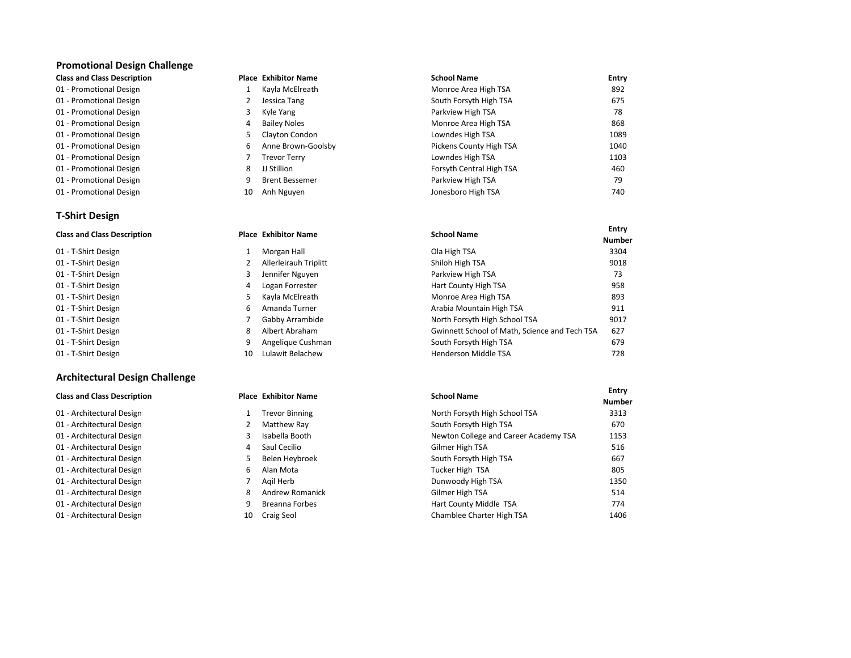### **Promotional Design Challenge**

|  |  | <b>Class and Class Description</b> |
|--|--|------------------------------------|
|--|--|------------------------------------|

- 01 Promotional Design **1 Monroe Area High TSA** 892
- 01 Promotional Design and South Forsyth High TSA 675
- 01 Promotional Design and Mathematic Communications of the Yang Parkview High TSA 78
- 01 Promotional Design and Montonal Design and Montonal Design and Montonal Design and Montonal Design and Monto
- 01 Promotional Design and Conserversity by Clayton Condon Condon Lowndes High TSA 1089
- 01 Promotional Design Theory of Anne Brown-Goolsby County High TSA 1040
- 01 Promotional Design **1103** Trevor Terry **1103** Cowndes High TSA Lowndes High TSA
- 01 Promotional Design **8 Contral High TSA** 460
- 01 Promotional Design and Matters of the Street Bessemer Community of the Parkview High TSA 79
- 01 Promotional Design and The Superior Control of the Nguyen 10 Anh Nguyen Jonesboro High TSA 740

# **T-Shirt Design**

| <b>Class and Class Description</b> |    | <b>Place Exhibitor Name</b>  | <b>School Name</b>                            |              |
|------------------------------------|----|------------------------------|-----------------------------------------------|--------------|
|                                    |    |                              |                                               | <b>Numbe</b> |
| 01 - T-Shirt Design                |    | Morgan Hall                  | Ola High TSA                                  | 3304         |
| 01 - T-Shirt Design                |    | <b>Allerleirauh Triplitt</b> | Shiloh High TSA                               | 9018         |
| 01 - T-Shirt Design                |    | Jennifer Nguyen              | Parkview High TSA                             | 73           |
| 01 - T-Shirt Design                | 4  | Logan Forrester              | Hart County High TSA                          | 958          |
| 01 - T-Shirt Design                | 5. | Kayla McElreath              | Monroe Area High TSA                          | 893          |
| 01 - T-Shirt Design                | 6. | Amanda Turner                | Arabia Mountain High TSA                      | 911          |
| 01 - T-Shirt Design                |    | Gabby Arrambide              | North Forsyth High School TSA                 | 9017         |
| 01 - T-Shirt Design                | 8  | Albert Abraham               | Gwinnett School of Math, Science and Tech TSA | 627          |
| 01 - T-Shirt Design                | 9. | Angelique Cushman            | South Forsyth High TSA                        | 679          |
| 01 - T-Shirt Design                | 10 | Lulawit Belachew             | Henderson Middle TSA                          | 728          |

**Colass Exhibitor Name Class 2 and Zeription School Name Entry <b>Entry Entry** 

**Number**

# **Architectural Design Challenge**

| <b>Class and Class Description</b> |    | <b>Place Exhibitor Name</b> | <b>School Name</b>                    | <b>Entry</b><br><b>Number</b> |
|------------------------------------|----|-----------------------------|---------------------------------------|-------------------------------|
|                                    |    |                             |                                       |                               |
| 01 - Architectural Design          |    | <b>Trevor Binning</b>       | North Forsyth High School TSA         | 3313                          |
| 01 - Architectural Design          |    | Matthew Ray                 | South Forsyth High TSA                | 670                           |
| 01 - Architectural Design          |    | Isabella Booth              | Newton College and Career Academy TSA | 1153                          |
| 01 - Architectural Design          | 4  | Saul Cecilio                | Gilmer High TSA                       | 516                           |
| 01 - Architectural Design          |    | Belen Heybroek              | South Forsyth High TSA                | 667                           |
| 01 - Architectural Design          | 6. | Alan Mota                   | Tucker High TSA                       | 805                           |
| 01 - Architectural Design          |    | Agil Herb                   | Dunwoody High TSA                     | 1350                          |
| 01 - Architectural Design          | 8  | <b>Andrew Romanick</b>      | Gilmer High TSA                       | 514                           |
| 01 - Architectural Design          | 9  | Breanna Forbes              | Hart County Middle TSA                | 774                           |
| 01 - Architectural Design          | 10 | Craig Seol                  | Chamblee Charter High TSA             | 1406                          |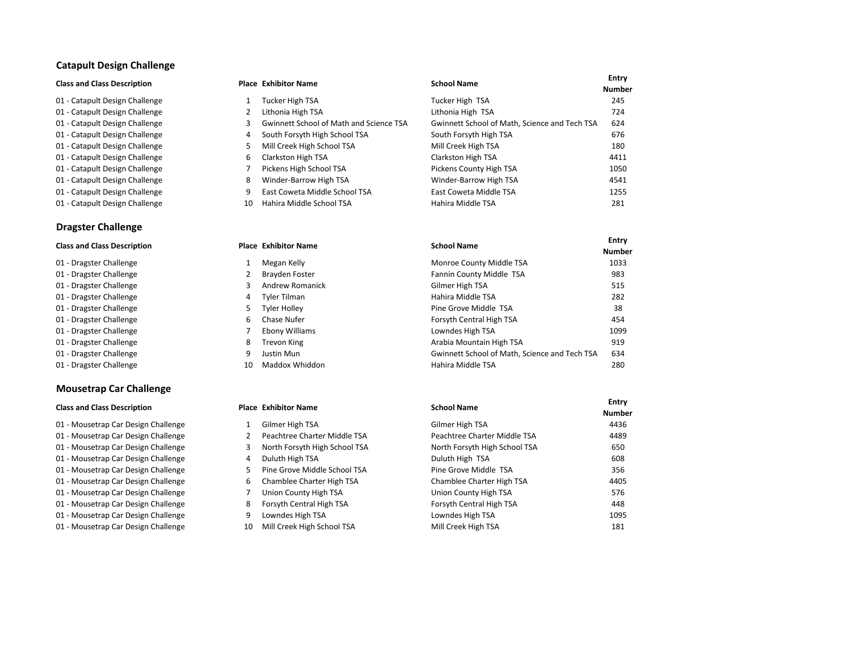### **Catapult Design Challenge**

- 
- 
- 
- 

### **Dragster Challenge**

- 01 Dragster Challenge 1 Megan Kelly
- 01 Dragster Challenge 2 Brayden Foster
- 01 Dragster Challenge 3 Andrew Romanick
- 01 Dragster Challenge **1988** 2021 Tyler Tilman
- 01 Dragster Challenge **1988** 5 Tyler Holley
- 01 Dragster Challenge **6 Chase Nufer** Forsyth Chase Nufer
- 01 Dragster Challenge 7 Ebony Williams
- 01 Dragster Challenge **8 Trevon King**
- 01 Dragster Challenge **9 Justin Mun**
- 01 Dragster Challenge 10 Maddox Whiddon

### **Mousetrap Car Challenge**

- 01 Mousetrap Car Design Challenge 2 Peachtree Charter Middle TSA
- 01 Mousetrap Car Design Challenge 3 North Forsyth High School TSA
- 01 Mousetrap Car Design Challenge **4 Access 12 Access 12 Access** 4 Duluth High TSA
- 01 Mousetrap Car Design Challenge 5 Pine Grove Middle School TSA
- 01 Mousetrap Car Design Challenge 6 Chamblee Charter High TSA
- 01 Mousetrap Car Design Challenge 7 Union County High TSA
- 01 Mousetrap Car Design Challenge **8 Forsyth Central High TSA**
- 01 Mousetrap Car Design Challenge 1988 1095 1096 Mousetrap Car Design Challenge
- 01 Mousetrap Car Design Challenge 10 Mill Creek High School TSA

| <b>Class and Class Description</b> |    | <b>Place Exhibitor Name</b>             | <b>School Name</b>                            | <b>Entry</b><br><b>Number</b> |
|------------------------------------|----|-----------------------------------------|-----------------------------------------------|-------------------------------|
| 01 - Catapult Design Challenge     |    | Tucker High TSA                         | Tucker High TSA                               | 245                           |
| 01 - Catapult Design Challenge     |    | Lithonia High TSA                       | Lithonia High TSA                             | 724                           |
| 01 - Catapult Design Challenge     |    | Gwinnett School of Math and Science TSA | Gwinnett School of Math, Science and Tech TSA | 624                           |
| 01 - Catapult Design Challenge     | 4  | South Forsyth High School TSA           | South Forsyth High TSA                        | 676                           |
| 01 - Catapult Design Challenge     |    | Mill Creek High School TSA              | Mill Creek High TSA                           | 180                           |
| 01 - Catapult Design Challenge     | 6  | Clarkston High TSA                      | Clarkston High TSA                            | 4411                          |
| 01 - Catapult Design Challenge     |    | Pickens High School TSA                 | Pickens County High TSA                       | 1050                          |
| 01 - Catapult Design Challenge     | 8  | Winder-Barrow High TSA                  | Winder-Barrow High TSA                        | 4541                          |
| 01 - Catapult Design Challenge     |    | East Coweta Middle School TSA           | East Coweta Middle TSA                        | 1255                          |
| 01 - Catapult Design Challenge     | 10 | Hahira Middle School TSA                | Hahira Middle TSA                             | 281                           |

| <b>Class and Class Description</b> |    | <b>Place Exhibitor Name</b> | <b>School Name</b>                            | <b>Entry</b><br><b>Number</b> |
|------------------------------------|----|-----------------------------|-----------------------------------------------|-------------------------------|
| 01 - Dragster Challenge            |    | Megan Kelly                 | Monroe County Middle TSA                      | 1033                          |
| 01 - Dragster Challenge            |    | Brayden Foster              | Fannin County Middle TSA                      | 983                           |
| 01 - Dragster Challenge            |    | Andrew Romanick             | Gilmer High TSA                               | 515                           |
| 01 - Dragster Challenge            | 4  | Tyler Tilman                | Hahira Middle TSA                             | 282                           |
| 01 - Dragster Challenge            | 5. | <b>Tyler Holley</b>         | Pine Grove Middle TSA                         | 38                            |
| 01 - Dragster Challenge            | 6. | Chase Nufer                 | Forsyth Central High TSA                      | 454                           |
| 01 - Dragster Challenge            |    | Ebony Williams              | Lowndes High TSA                              | 1099                          |
| 01 - Dragster Challenge            | 8  | Trevon King                 | Arabia Mountain High TSA                      | 919                           |
| 01 - Dragster Challenge            | 9  | Justin Mun                  | Gwinnett School of Math, Science and Tech TSA | 634                           |
| 01 - Dragster Challenge            | 10 | Maddox Whiddon              | Hahira Middle TSA                             | 280                           |

| <b>Class and Class Description</b>  |    | <b>Place Exhibitor Name</b>   | <b>School Name</b>            | Entry<br><b>Number</b> |
|-------------------------------------|----|-------------------------------|-------------------------------|------------------------|
| 01 - Mousetrap Car Design Challenge |    | Gilmer High TSA               | Gilmer High TSA               | 4436                   |
| 01 - Mousetrap Car Design Challenge |    | Peachtree Charter Middle TSA  | Peachtree Charter Middle TSA  | 4489                   |
| 01 - Mousetrap Car Design Challenge |    | North Forsyth High School TSA | North Forsyth High School TSA | 650                    |
| 01 - Mousetrap Car Design Challenge | 4  | Duluth High TSA               | Duluth High TSA               | 608                    |
| 01 - Mousetrap Car Design Challenge |    | Pine Grove Middle School TSA  | Pine Grove Middle TSA         | 356                    |
| 01 - Mousetrap Car Design Challenge | 6. | Chamblee Charter High TSA     | Chamblee Charter High TSA     | 4405                   |
| 01 - Mousetrap Car Design Challenge |    | Union County High TSA         | Union County High TSA         | 576                    |
| 01 - Mousetrap Car Design Challenge | 8  | Forsyth Central High TSA      | Forsyth Central High TSA      | 448                    |
| 01 - Mousetrap Car Design Challenge | 9  | Lowndes High TSA              | Lowndes High TSA              | 1095                   |
| 01 - Mousetrap Car Design Challenge | 10 | Mill Creek High School TSA    | Mill Creek High TSA           | 181                    |